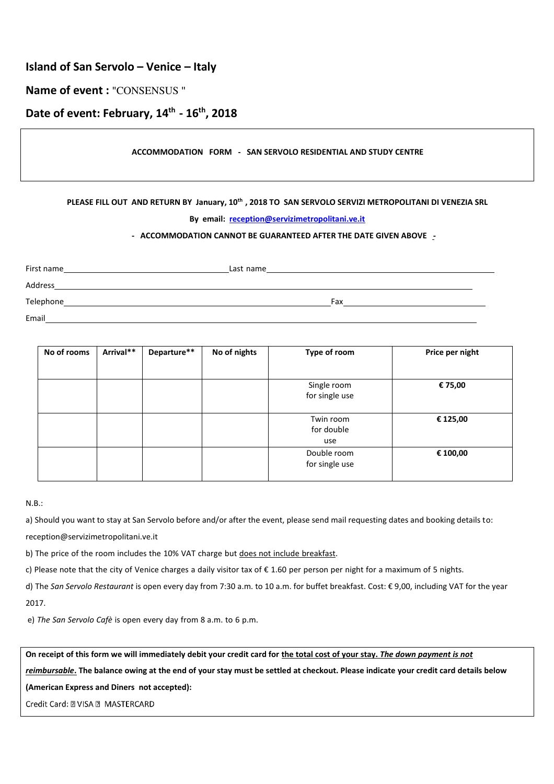## **Island of San Servolo – Venice – Italy**

### **Name of event :** "CONSENSUS "

# **Date of event: February, 14th - 16th, 2018**

#### **ACCOMMODATION FORM - SAN SERVOLO RESIDENTIAL AND STUDY CENTRE**

#### **PLEASE FILL OUT AND RETURN BY January, 10th , 2018 TO SAN SERVOLO SERVIZI METROPOLITANI DI VENEZIA SRL**

#### **By email: [reception@servizimetropolitani.ve.it](mailto:reception@servizimetropolitani.ve.it)**

#### **- ACCOMMODATION CANNOT BE GUARANTEED AFTER THE DATE GIVEN ABOVE -**

First name
Last name
Last name
Last name
Last name
Last name
Last name
Last name
Last name
Last name
Last name
Last name
Last name
Last name
Last name
Last name
Last name
Last name
Last name
Last name
Last name
Last name Address Telephone Fax Email

| No of rooms | Arrival** | Departure** | No of nights | Type of room                   | Price per night |
|-------------|-----------|-------------|--------------|--------------------------------|-----------------|
|             |           |             |              |                                |                 |
|             |           |             |              | Single room<br>for single use  | € 75,00         |
|             |           |             |              |                                |                 |
|             |           |             |              | Twin room<br>for double<br>use | € 125,00        |
|             |           |             |              | Double room<br>for single use  | € 100,00        |

#### N.B.:

a) Should you want to stay at San Servolo before and/or after the event, please send mail requesting dates and booking details to[:](mailto:reception@servizimetropolitani.ve.it)

[reception@servizimetropolitani.ve.it](mailto:reception@servizimetropolitani.ve.it) 

b) The price of the room includes the 10% VAT charge but does not include breakfast.

c) Please note that the city of Venice charges a daily visitor tax of  $\epsilon$  1.60 per person per night for a maximum of 5 nights.

d) The San Servolo Restaurant is open every day from 7:30 a.m. to 10 a.m. for buffet breakfast. Cost: € 9,00, including VAT for the year 2017.

e) *The San Servolo Cafè* is open every day from 8 a.m. to 6 p.m.

**On receipt of this form we will immediately debit your credit card for the total cost of your stay.** *The down payment is not* 

*reimbursable***. The balance owing at the end of your stay must be settled at checkout. Please indicate your credit card details below** 

**(American Express and Diners not accepted):** 

Credit Card: 2 VISA 2 MASTERCARD